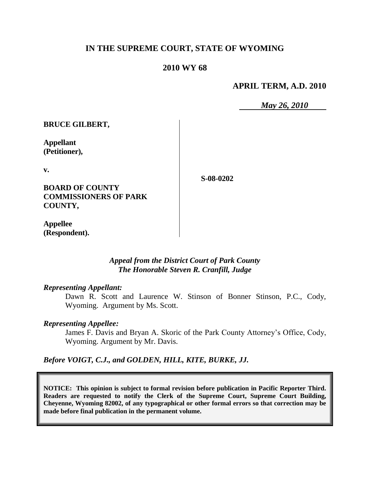### **IN THE SUPREME COURT, STATE OF WYOMING**

# **2010 WY 68**

**APRIL TERM, A.D. 2010**

*May 26, 2010*

**BRUCE GILBERT,**

**Appellant (Petitioner),**

**v.**

**S-08-0202**

**BOARD OF COUNTY COMMISSIONERS OF PARK COUNTY,**

**Appellee (Respondent).**

> *Appeal from the District Court of Park County The Honorable Steven R. Cranfill, Judge*

#### *Representing Appellant:*

Dawn R. Scott and Laurence W. Stinson of Bonner Stinson, P.C., Cody, Wyoming. Argument by Ms. Scott.

#### *Representing Appellee:*

James F. Davis and Bryan A. Skoric of the Park County Attorney"s Office, Cody, Wyoming. Argument by Mr. Davis.

### *Before VOIGT, C.J., and GOLDEN, HILL, KITE, BURKE, JJ.*

**NOTICE: This opinion is subject to formal revision before publication in Pacific Reporter Third. Readers are requested to notify the Clerk of the Supreme Court, Supreme Court Building, Cheyenne, Wyoming 82002, of any typographical or other formal errors so that correction may be made before final publication in the permanent volume.**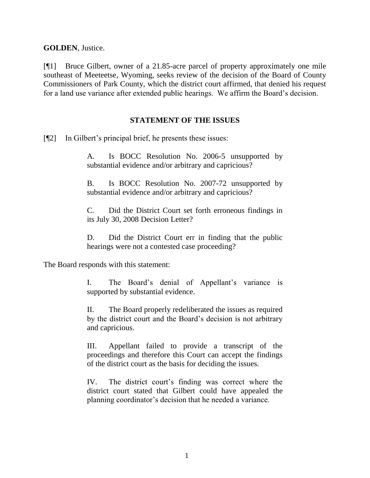**GOLDEN**, Justice.

[¶1] Bruce Gilbert, owner of a 21.85-acre parcel of property approximately one mile southeast of Meeteetse, Wyoming, seeks review of the decision of the Board of County Commissioners of Park County, which the district court affirmed, that denied his request for a land use variance after extended public hearings. We affirm the Board"s decision.

### **STATEMENT OF THE ISSUES**

[¶2] In Gilbert"s principal brief, he presents these issues:

A. Is BOCC Resolution No. 2006-5 unsupported by substantial evidence and/or arbitrary and capricious?

B. Is BOCC Resolution No. 2007-72 unsupported by substantial evidence and/or arbitrary and capricious?

C. Did the District Court set forth erroneous findings in its July 30, 2008 Decision Letter?

D. Did the District Court err in finding that the public hearings were not a contested case proceeding?

The Board responds with this statement:

I. The Board"s denial of Appellant"s variance is supported by substantial evidence.

II. The Board properly redeliberated the issues as required by the district court and the Board"s decision is not arbitrary and capricious.

III. Appellant failed to provide a transcript of the proceedings and therefore this Court can accept the findings of the district court as the basis for deciding the issues.

IV. The district court's finding was correct where the district court stated that Gilbert could have appealed the planning coordinator"s decision that he needed a variance.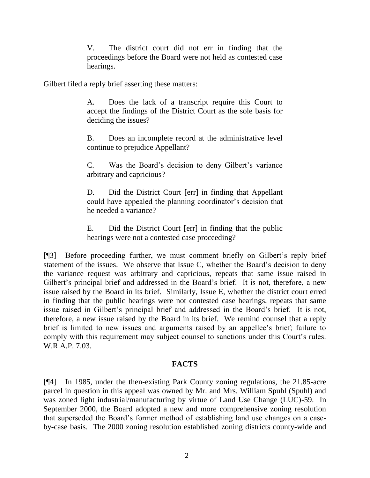V. The district court did not err in finding that the proceedings before the Board were not held as contested case hearings.

Gilbert filed a reply brief asserting these matters:

A. Does the lack of a transcript require this Court to accept the findings of the District Court as the sole basis for deciding the issues?

B. Does an incomplete record at the administrative level continue to prejudice Appellant?

C. Was the Board"s decision to deny Gilbert"s variance arbitrary and capricious?

D. Did the District Court [err] in finding that Appellant could have appealed the planning coordinator's decision that he needed a variance?

E. Did the District Court [err] in finding that the public hearings were not a contested case proceeding?

[¶3] Before proceeding further, we must comment briefly on Gilbert's reply brief statement of the issues. We observe that Issue C, whether the Board"s decision to deny the variance request was arbitrary and capricious, repeats that same issue raised in Gilbert's principal brief and addressed in the Board's brief. It is not, therefore, a new issue raised by the Board in its brief. Similarly, Issue E, whether the district court erred in finding that the public hearings were not contested case hearings, repeats that same issue raised in Gilbert's principal brief and addressed in the Board's brief. It is not, therefore, a new issue raised by the Board in its brief. We remind counsel that a reply brief is limited to new issues and arguments raised by an appellee's brief; failure to comply with this requirement may subject counsel to sanctions under this Court's rules. W.R.A.P. 7.03.

## **FACTS**

[¶4] In 1985, under the then-existing Park County zoning regulations, the 21.85-acre parcel in question in this appeal was owned by Mr. and Mrs. William Spuhl (Spuhl) and was zoned light industrial/manufacturing by virtue of Land Use Change (LUC)-59. In September 2000, the Board adopted a new and more comprehensive zoning resolution that superseded the Board"s former method of establishing land use changes on a caseby-case basis. The 2000 zoning resolution established zoning districts county-wide and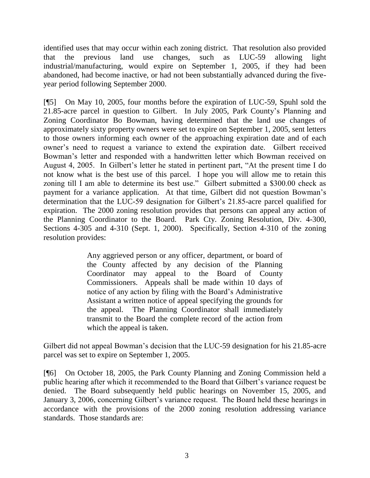identified uses that may occur within each zoning district. That resolution also provided that the previous land use changes, such as LUC-59 allowing light industrial/manufacturing, would expire on September 1, 2005, if they had been abandoned, had become inactive, or had not been substantially advanced during the fiveyear period following September 2000.

[¶5] On May 10, 2005, four months before the expiration of LUC-59, Spuhl sold the 21.85-acre parcel in question to Gilbert. In July 2005, Park County"s Planning and Zoning Coordinator Bo Bowman, having determined that the land use changes of approximately sixty property owners were set to expire on September 1, 2005, sent letters to those owners informing each owner of the approaching expiration date and of each owner"s need to request a variance to extend the expiration date. Gilbert received Bowman"s letter and responded with a handwritten letter which Bowman received on August 4, 2005. In Gilbert"s letter he stated in pertinent part, "At the present time I do not know what is the best use of this parcel. I hope you will allow me to retain this zoning till I am able to determine its best use." Gilbert submitted a \$300.00 check as payment for a variance application. At that time, Gilbert did not question Bowman"s determination that the LUC-59 designation for Gilbert"s 21.85-acre parcel qualified for expiration. The 2000 zoning resolution provides that persons can appeal any action of the Planning Coordinator to the Board. Park Cty. Zoning Resolution, Div. 4-300, Sections 4-305 and 4-310 (Sept. 1, 2000). Specifically, Section 4-310 of the zoning resolution provides:

> Any aggrieved person or any officer, department, or board of the County affected by any decision of the Planning Coordinator may appeal to the Board of County Commissioners. Appeals shall be made within 10 days of notice of any action by filing with the Board"s Administrative Assistant a written notice of appeal specifying the grounds for the appeal. The Planning Coordinator shall immediately transmit to the Board the complete record of the action from which the appeal is taken.

Gilbert did not appeal Bowman's decision that the LUC-59 designation for his 21.85-acre parcel was set to expire on September 1, 2005.

[¶6] On October 18, 2005, the Park County Planning and Zoning Commission held a public hearing after which it recommended to the Board that Gilbert"s variance request be denied. The Board subsequently held public hearings on November 15, 2005, and January 3, 2006, concerning Gilbert's variance request. The Board held these hearings in accordance with the provisions of the 2000 zoning resolution addressing variance standards. Those standards are: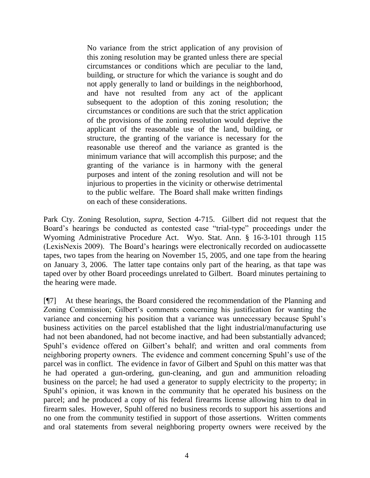No variance from the strict application of any provision of this zoning resolution may be granted unless there are special circumstances or conditions which are peculiar to the land, building, or structure for which the variance is sought and do not apply generally to land or buildings in the neighborhood, and have not resulted from any act of the applicant subsequent to the adoption of this zoning resolution; the circumstances or conditions are such that the strict application of the provisions of the zoning resolution would deprive the applicant of the reasonable use of the land, building, or structure, the granting of the variance is necessary for the reasonable use thereof and the variance as granted is the minimum variance that will accomplish this purpose; and the granting of the variance is in harmony with the general purposes and intent of the zoning resolution and will not be injurious to properties in the vicinity or otherwise detrimental to the public welfare. The Board shall make written findings on each of these considerations.

Park Cty. Zoning Resolution, *supra,* Section 4-715. Gilbert did not request that the Board"s hearings be conducted as contested case "trial-type" proceedings under the Wyoming Administrative Procedure Act. Wyo. Stat. Ann. § 16-3-101 through 115 (LexisNexis 2009). The Board"s hearings were electronically recorded on audiocassette tapes, two tapes from the hearing on November 15, 2005, and one tape from the hearing on January 3, 2006. The latter tape contains only part of the hearing, as that tape was taped over by other Board proceedings unrelated to Gilbert. Board minutes pertaining to the hearing were made.

[¶7] At these hearings, the Board considered the recommendation of the Planning and Zoning Commission; Gilbert"s comments concerning his justification for wanting the variance and concerning his position that a variance was unnecessary because Spuhl"s business activities on the parcel established that the light industrial/manufacturing use had not been abandoned, had not become inactive, and had been substantially advanced; Spuhl's evidence offered on Gilbert's behalf; and written and oral comments from neighboring property owners. The evidence and comment concerning Spuhl"s use of the parcel was in conflict. The evidence in favor of Gilbert and Spuhl on this matter was that he had operated a gun-ordering, gun-cleaning, and gun and ammunition reloading business on the parcel; he had used a generator to supply electricity to the property; in Spuhl"s opinion, it was known in the community that he operated his business on the parcel; and he produced a copy of his federal firearms license allowing him to deal in firearm sales. However, Spuhl offered no business records to support his assertions and no one from the community testified in support of those assertions. Written comments and oral statements from several neighboring property owners were received by the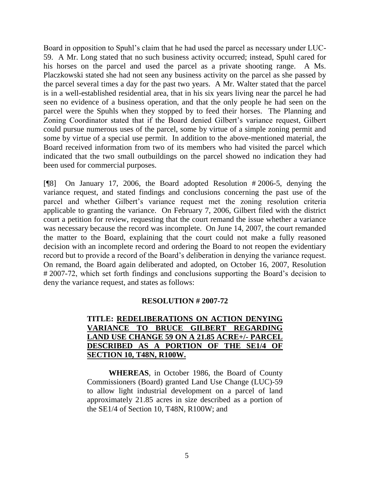Board in opposition to Spuhl"s claim that he had used the parcel as necessary under LUC-59. A Mr. Long stated that no such business activity occurred; instead, Spuhl cared for his horses on the parcel and used the parcel as a private shooting range. A Ms. Placzkowski stated she had not seen any business activity on the parcel as she passed by the parcel several times a day for the past two years. A Mr. Walter stated that the parcel is in a well-established residential area, that in his six years living near the parcel he had seen no evidence of a business operation, and that the only people he had seen on the parcel were the Spuhls when they stopped by to feed their horses. The Planning and Zoning Coordinator stated that if the Board denied Gilbert"s variance request, Gilbert could pursue numerous uses of the parcel, some by virtue of a simple zoning permit and some by virtue of a special use permit. In addition to the above-mentioned material, the Board received information from two of its members who had visited the parcel which indicated that the two small outbuildings on the parcel showed no indication they had been used for commercial purposes.

[¶8] On January 17, 2006, the Board adopted Resolution # 2006-5, denying the variance request, and stated findings and conclusions concerning the past use of the parcel and whether Gilbert"s variance request met the zoning resolution criteria applicable to granting the variance. On February 7, 2006, Gilbert filed with the district court a petition for review, requesting that the court remand the issue whether a variance was necessary because the record was incomplete. On June 14, 2007, the court remanded the matter to the Board, explaining that the court could not make a fully reasoned decision with an incomplete record and ordering the Board to not reopen the evidentiary record but to provide a record of the Board"s deliberation in denying the variance request. On remand, the Board again deliberated and adopted, on October 16, 2007, Resolution # 2007-72, which set forth findings and conclusions supporting the Board"s decision to deny the variance request, and states as follows:

### **RESOLUTION # 2007-72**

# **TITLE: REDELIBERATIONS ON ACTION DENYING VARIANCE TO BRUCE GILBERT REGARDING LAND USE CHANGE 59 ON A 21.85 ACRE+/- PARCEL DESCRIBED AS A PORTION OF THE SE1/4 OF SECTION 10, T48N, R100W.**

**WHEREAS**, in October 1986, the Board of County Commissioners (Board) granted Land Use Change (LUC)-59 to allow light industrial development on a parcel of land approximately 21.85 acres in size described as a portion of the SE1/4 of Section 10, T48N, R100W; and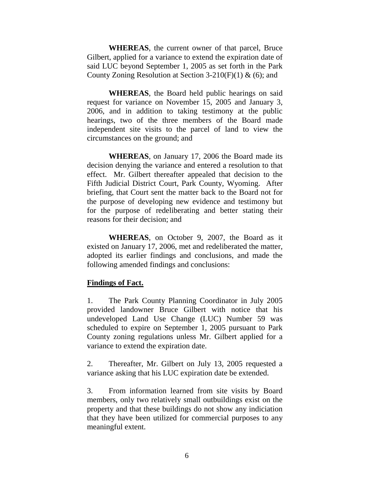**WHEREAS**, the current owner of that parcel, Bruce Gilbert, applied for a variance to extend the expiration date of said LUC beyond September 1, 2005 as set forth in the Park County Zoning Resolution at Section 3-210(F)(1)  $\&$  (6); and

**WHEREAS**, the Board held public hearings on said request for variance on November 15, 2005 and January 3, 2006, and in addition to taking testimony at the public hearings, two of the three members of the Board made independent site visits to the parcel of land to view the circumstances on the ground; and

**WHEREAS**, on January 17, 2006 the Board made its decision denying the variance and entered a resolution to that effect. Mr. Gilbert thereafter appealed that decision to the Fifth Judicial District Court, Park County, Wyoming. After briefing, that Court sent the matter back to the Board not for the purpose of developing new evidence and testimony but for the purpose of redeliberating and better stating their reasons for their decision; and

**WHEREAS**, on October 9, 2007, the Board as it existed on January 17, 2006, met and redeliberated the matter, adopted its earlier findings and conclusions, and made the following amended findings and conclusions:

### **Findings of Fact.**

1. The Park County Planning Coordinator in July 2005 provided landowner Bruce Gilbert with notice that his undeveloped Land Use Change (LUC) Number 59 was scheduled to expire on September 1, 2005 pursuant to Park County zoning regulations unless Mr. Gilbert applied for a variance to extend the expiration date.

2. Thereafter, Mr. Gilbert on July 13, 2005 requested a variance asking that his LUC expiration date be extended.

3. From information learned from site visits by Board members, only two relatively small outbuildings exist on the property and that these buildings do not show any indiciation that they have been utilized for commercial purposes to any meaningful extent.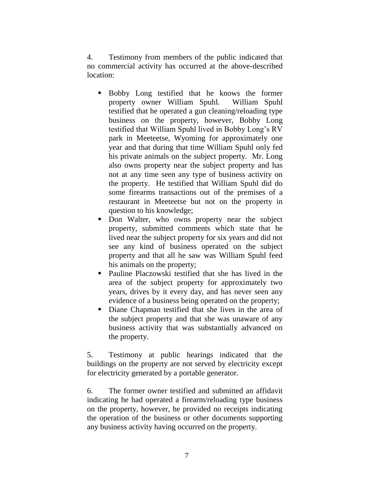4. Testimony from members of the public indicated that no commercial activity has occurred at the above-described location:

- Bobby Long testified that he knows the former property owner William Spuhl. William Spuhl testified that he operated a gun cleaning/reloading type business on the property, however, Bobby Long testified that William Spuhl lived in Bobby Long"s RV park in Meeteetse, Wyoming for approximately one year and that during that time William Spuhl only fed his private animals on the subject property. Mr. Long also owns property near the subject property and has not at any time seen any type of business activity on the property. He testified that William Spuhl did do some firearms transactions out of the premises of a restaurant in Meeteetse but not on the property in question to his knowledge;
- Don Walter, who owns property near the subject property, submitted comments which state that he lived near the subject property for six years and did not see any kind of business operated on the subject property and that all he saw was William Spuhl feed his animals on the property;
- Pauline Placzowski testified that she has lived in the area of the subject property for approximately two years, drives by it every day, and has never seen any evidence of a business being operated on the property;
- Diane Chapman testified that she lives in the area of the subject property and that she was unaware of any business activity that was substantially advanced on the property.

5. Testimony at public hearings indicated that the buildings on the property are not served by electricity except for electricity generated by a portable generator.

6. The former owner testified and submitted an affidavit indicating he had operated a firearm/reloading type business on the property, however, he provided no receipts indicating the operation of the business or other documents supporting any business activity having occurred on the property.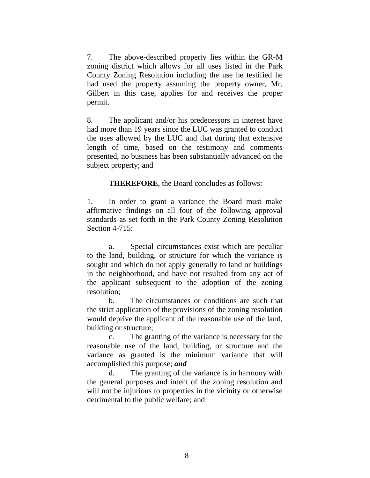7. The above-described property lies within the GR-M zoning district which allows for all uses listed in the Park County Zoning Resolution including the use he testified he had used the property assuming the property owner, Mr. Gilbert in this case, applies for and receives the proper permit.

8. The applicant and/or his predecessors in interest have had more than 19 years since the LUC was granted to conduct the uses allowed by the LUC and that during that extensive length of time, based on the testimony and comments presented, no business has been substantially advanced on the subject property; and

**THEREFORE**, the Board concludes as follows:

1. In order to grant a variance the Board must make affirmative findings on all four of the following approval standards as set forth in the Park County Zoning Resolution Section 4-715:

a. Special circumstances exist which are peculiar to the land, building, or structure for which the variance is sought and which do not apply generally to land or buildings in the neighborhood, and have not resulted from any act of the applicant subsequent to the adoption of the zoning resolution;

b. The circumstances or conditions are such that the strict application of the provisions of the zoning resolution would deprive the applicant of the reasonable use of the land, building or structure;

c. The granting of the variance is necessary for the reasonable use of the land, building, or structure and the variance as granted is the minimum variance that will accomplished this purpose; *and*

d. The granting of the variance is in harmony with the general purposes and intent of the zoning resolution and will not be injurious to properties in the vicinity or otherwise detrimental to the public welfare; and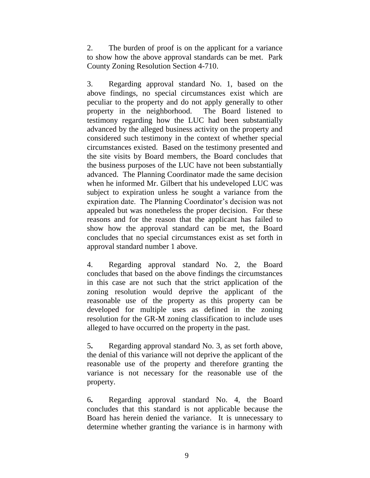2. The burden of proof is on the applicant for a variance to show how the above approval standards can be met. Park County Zoning Resolution Section 4-710.

3. Regarding approval standard No. 1, based on the above findings, no special circumstances exist which are peculiar to the property and do not apply generally to other property in the neighborhood. The Board listened to testimony regarding how the LUC had been substantially advanced by the alleged business activity on the property and considered such testimony in the context of whether special circumstances existed. Based on the testimony presented and the site visits by Board members, the Board concludes that the business purposes of the LUC have not been substantially advanced. The Planning Coordinator made the same decision when he informed Mr. Gilbert that his undeveloped LUC was subject to expiration unless he sought a variance from the expiration date. The Planning Coordinator's decision was not appealed but was nonetheless the proper decision. For these reasons and for the reason that the applicant has failed to show how the approval standard can be met, the Board concludes that no special circumstances exist as set forth in approval standard number 1 above.

4. Regarding approval standard No. 2, the Board concludes that based on the above findings the circumstances in this case are not such that the strict application of the zoning resolution would deprive the applicant of the reasonable use of the property as this property can be developed for multiple uses as defined in the zoning resolution for the GR-M zoning classification to include uses alleged to have occurred on the property in the past.

5**.** Regarding approval standard No. 3, as set forth above, the denial of this variance will not deprive the applicant of the reasonable use of the property and therefore granting the variance is not necessary for the reasonable use of the property.

6**.** Regarding approval standard No. 4, the Board concludes that this standard is not applicable because the Board has herein denied the variance. It is unnecessary to determine whether granting the variance is in harmony with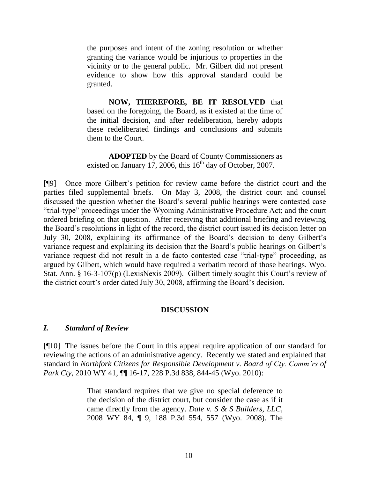the purposes and intent of the zoning resolution or whether granting the variance would be injurious to properties in the vicinity or to the general public. Mr. Gilbert did not present evidence to show how this approval standard could be granted.

**NOW, THEREFORE, BE IT RESOLVED** that based on the foregoing, the Board, as it existed at the time of the initial decision, and after redeliberation, hereby adopts these redeliberated findings and conclusions and submits them to the Court.

**ADOPTED** by the Board of County Commissioners as existed on January 17, 2006, this  $16<sup>th</sup>$  day of October, 2007.

[¶9] Once more Gilbert"s petition for review came before the district court and the parties filed supplemental briefs. On May 3, 2008, the district court and counsel discussed the question whether the Board"s several public hearings were contested case "trial-type" proceedings under the Wyoming Administrative Procedure Act; and the court ordered briefing on that question. After receiving that additional briefing and reviewing the Board"s resolutions in light of the record, the district court issued its decision letter on July 30, 2008, explaining its affirmance of the Board"s decision to deny Gilbert"s variance request and explaining its decision that the Board"s public hearings on Gilbert"s variance request did not result in a de facto contested case "trial-type" proceeding, as argued by Gilbert, which would have required a verbatim record of those hearings. Wyo. Stat. Ann. § 16-3-107(p) (LexisNexis 2009). Gilbert timely sought this Court's review of the district court"s order dated July 30, 2008, affirming the Board"s decision.

### **DISCUSSION**

#### *I. Standard of Review*

[¶10] The issues before the Court in this appeal require application of our standard for reviewing the actions of an administrative agency. Recently we stated and explained that standard in *Northfork Citizens for Responsible Development v. Board of Cty. Comm'rs of Park Cty*, 2010 WY 41, ¶¶ 16-17, 228 P.3d 838, 844-45 (Wyo. 2010):

> That standard requires that we give no special deference to the decision of the district court, but consider the case as if it came directly from the agency. *Dale v. S & S Builders, LLC,* 2008 WY 84, ¶ 9, 188 P.3d 554, 557 (Wyo. 2008). The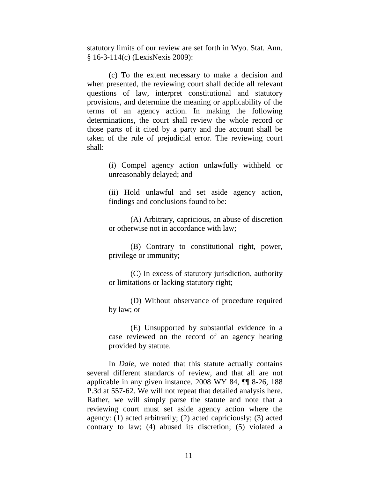statutory limits of our review are set forth in Wyo. Stat. Ann. § 16-3-114(c) (LexisNexis 2009):

(c) To the extent necessary to make a decision and when presented, the reviewing court shall decide all relevant questions of law, interpret constitutional and statutory provisions, and determine the meaning or applicability of the terms of an agency action. In making the following determinations, the court shall review the whole record or those parts of it cited by a party and due account shall be taken of the rule of prejudicial error. The reviewing court shall:

> (i) Compel agency action unlawfully withheld or unreasonably delayed; and

> (ii) Hold unlawful and set aside agency action, findings and conclusions found to be:

> (A) Arbitrary, capricious, an abuse of discretion or otherwise not in accordance with law;

> (B) Contrary to constitutional right, power, privilege or immunity;

> (C) In excess of statutory jurisdiction, authority or limitations or lacking statutory right;

> (D) Without observance of procedure required by law; or

> (E) Unsupported by substantial evidence in a case reviewed on the record of an agency hearing provided by statute.

In *Dale*, we noted that this statute actually contains several different standards of review, and that all are not applicable in any given instance. 2008 WY 84, ¶¶ 8-26, 188 P.3d at 557-62. We will not repeat that detailed analysis here. Rather, we will simply parse the statute and note that a reviewing court must set aside agency action where the agency: (1) acted arbitrarily; (2) acted capriciously; (3) acted contrary to law; (4) abused its discretion; (5) violated a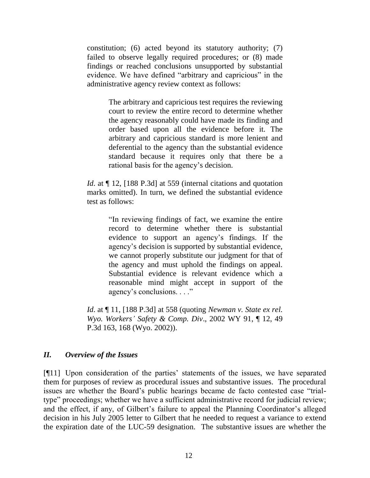constitution; (6) acted beyond its statutory authority; (7) failed to observe legally required procedures; or (8) made findings or reached conclusions unsupported by substantial evidence. We have defined "arbitrary and capricious" in the administrative agency review context as follows:

> The arbitrary and capricious test requires the reviewing court to review the entire record to determine whether the agency reasonably could have made its finding and order based upon all the evidence before it. The arbitrary and capricious standard is more lenient and deferential to the agency than the substantial evidence standard because it requires only that there be a rational basis for the agency"s decision.

*Id.* at  $\P$  12, [188 P.3d] at 559 (internal citations and quotation marks omitted). In turn, we defined the substantial evidence test as follows:

> "In reviewing findings of fact, we examine the entire record to determine whether there is substantial evidence to support an agency"s findings. If the agency"s decision is supported by substantial evidence, we cannot properly substitute our judgment for that of the agency and must uphold the findings on appeal. Substantial evidence is relevant evidence which a reasonable mind might accept in support of the agency's conclusions. . . ."

*Id*. at ¶ 11, [188 P.3d] at 558 (quoting *Newman v. State ex rel. Wyo. Workers' Safety & Comp. Div*., 2002 WY 91, ¶ 12, 49 P.3d 163, 168 (Wyo. 2002)).

### *II. Overview of the Issues*

[¶11] Upon consideration of the parties" statements of the issues, we have separated them for purposes of review as procedural issues and substantive issues. The procedural issues are whether the Board"s public hearings became de facto contested case "trialtype" proceedings; whether we have a sufficient administrative record for judicial review; and the effect, if any, of Gilbert's failure to appeal the Planning Coordinator's alleged decision in his July 2005 letter to Gilbert that he needed to request a variance to extend the expiration date of the LUC-59 designation. The substantive issues are whether the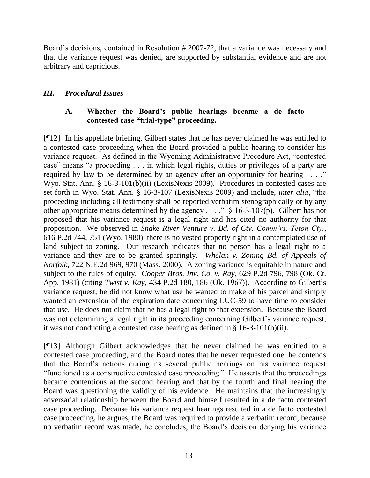Board's decisions, contained in Resolution #2007-72, that a variance was necessary and that the variance request was denied, are supported by substantial evidence and are not arbitrary and capricious.

## *III. Procedural Issues*

# **A. Whether the Board's public hearings became a de facto contested case "trial-type" proceeding.**

[¶12] In his appellate briefing, Gilbert states that he has never claimed he was entitled to a contested case proceeding when the Board provided a public hearing to consider his variance request. As defined in the Wyoming Administrative Procedure Act, "contested case" means "a proceeding . . . in which legal rights, duties or privileges of a party are required by law to be determined by an agency after an opportunity for hearing . . . ." Wyo. Stat. Ann. § 16-3-101(b)(ii) (LexisNexis 2009). Procedures in contested cases are set forth in Wyo. Stat. Ann. § 16-3-107 (LexisNexis 2009) and include, *inter alia*, "the proceeding including all testimony shall be reported verbatim stenographically or by any other appropriate means determined by the agency . . . ."  $\S$  16-3-107(p). Gilbert has not proposed that his variance request is a legal right and has cited no authority for that proposition. We observed in *Snake River Venture v. Bd. of Cty. Comm'rs, Teton Cty.*, 616 P.2d 744, 751 (Wyo. 1980), there is no vested property right in a contemplated use of land subject to zoning. Our research indicates that no person has a legal right to a variance and they are to be granted sparingly. *Whelan v. Zoning Bd. of Appeals of Norfolk*, 722 N.E.2d 969, 970 (Mass. 2000). A zoning variance is equitable in nature and subject to the rules of equity. *Cooper Bros. Inv. Co. v. Ray*, 629 P.2d 796, 798 (Ok. Ct. App. 1981) (citing *Twist v. Kay*, 434 P.2d 180, 186 (Ok. 1967)). According to Gilbert"s variance request, he did not know what use he wanted to make of his parcel and simply wanted an extension of the expiration date concerning LUC-59 to have time to consider that use. He does not claim that he has a legal right to that extension. Because the Board was not determining a legal right in its proceeding concerning Gilbert's variance request, it was not conducting a contested case hearing as defined in § 16-3-101(b)(ii).

[¶13] Although Gilbert acknowledges that he never claimed he was entitled to a contested case proceeding, and the Board notes that he never requested one, he contends that the Board"s actions during its several public hearings on his variance request "functioned as a constructive contested case proceeding." He asserts that the proceedings became contentious at the second hearing and that by the fourth and final hearing the Board was questioning the validity of his evidence. He maintains that the increasingly adversarial relationship between the Board and himself resulted in a de facto contested case proceeding. Because his variance request hearings resulted in a de facto contested case proceeding, he argues, the Board was required to provide a verbatim record; because no verbatim record was made, he concludes, the Board"s decision denying his variance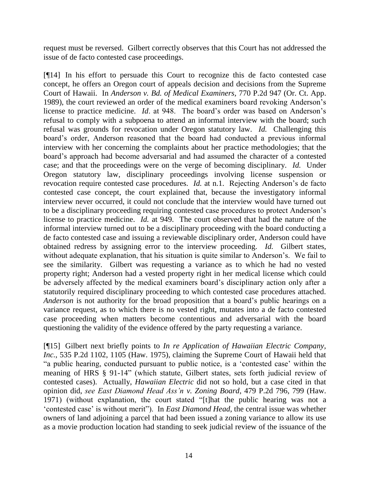request must be reversed. Gilbert correctly observes that this Court has not addressed the issue of de facto contested case proceedings.

[¶14] In his effort to persuade this Court to recognize this de facto contested case concept, he offers an Oregon court of appeals decision and decisions from the Supreme Court of Hawaii. In *Anderson v. Bd. of Medical Examiners,* 770 P.2d 947 (Or. Ct. App. 1989), the court reviewed an order of the medical examiners board revoking Anderson"s license to practice medicine. *Id.* at 948. The board's order was based on Anderson's refusal to comply with a subpoena to attend an informal interview with the board; such refusal was grounds for revocation under Oregon statutory law. *Id.* Challenging this board"s order, Anderson reasoned that the board had conducted a previous informal interview with her concerning the complaints about her practice methodologies; that the board"s approach had become adversarial and had assumed the character of a contested case; and that the proceedings were on the verge of becoming disciplinary. *Id.* Under Oregon statutory law, disciplinary proceedings involving license suspension or revocation require contested case procedures. *Id.* at n.1. Rejecting Anderson's de facto contested case concept, the court explained that, because the investigatory informal interview never occurred, it could not conclude that the interview would have turned out to be a disciplinary proceeding requiring contested case procedures to protect Anderson"s license to practice medicine. *Id.* at 949. The court observed that had the nature of the informal interview turned out to be a disciplinary proceeding with the board conducting a de facto contested case and issuing a reviewable disciplinary order, Anderson could have obtained redress by assigning error to the interview proceeding. *Id.* Gilbert states, without adequate explanation, that his situation is quite similar to Anderson's. We fail to see the similarity. Gilbert was requesting a variance as to which he had no vested property right; Anderson had a vested property right in her medical license which could be adversely affected by the medical examiners board's disciplinary action only after a statutorily required disciplinary proceeding to which contested case procedures attached. *Anderson* is not authority for the broad proposition that a board"s public hearings on a variance request, as to which there is no vested right, mutates into a de facto contested case proceeding when matters become contentious and adversarial with the board questioning the validity of the evidence offered by the party requesting a variance.

[¶15] Gilbert next briefly points to *In re Application of Hawaiian Electric Company, Inc.*, 535 P.2d 1102, 1105 (Haw. 1975), claiming the Supreme Court of Hawaii held that "a public hearing, conducted pursuant to public notice, is a "contested case" within the meaning of HRS § 91-14" (which statute, Gilbert states, sets forth judicial review of contested cases). Actually, *Hawaiian Electric* did not so hold, but a case cited in that opinion did, *see East Diamond Head Ass'n v. Zoning Board*, 479 P.2d 796, 799 (Haw. 1971) (without explanation, the court stated "[t]hat the public hearing was not a "contested case" is without merit"). In *East Diamond Head*, the central issue was whether owners of land adjoining a parcel that had been issued a zoning variance to allow its use as a movie production location had standing to seek judicial review of the issuance of the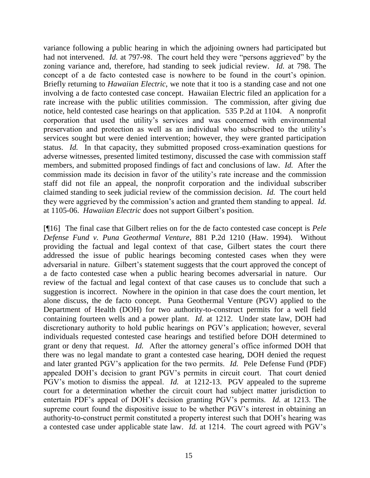variance following a public hearing in which the adjoining owners had participated but had not intervened. *Id.* at 797-98. The court held they were "persons aggrieved" by the zoning variance and, therefore, had standing to seek judicial review. *Id.* at 798. The concept of a de facto contested case is nowhere to be found in the court's opinion. Briefly returning to *Hawaiian Electric*, we note that it too is a standing case and not one involving a de facto contested case concept. Hawaiian Electric filed an application for a rate increase with the public utilities commission. The commission, after giving due notice, held contested case hearings on that application. 535 P.2d at 1104. A nonprofit corporation that used the utility"s services and was concerned with environmental preservation and protection as well as an individual who subscribed to the utility"s services sought but were denied intervention; however, they were granted participation status. *Id.* In that capacity, they submitted proposed cross-examination questions for adverse witnesses, presented limited testimony, discussed the case with commission staff members, and submitted proposed findings of fact and conclusions of law. *Id.* After the commission made its decision in favor of the utility"s rate increase and the commission staff did not file an appeal, the nonprofit corporation and the individual subscriber claimed standing to seek judicial review of the commission decision. *Id.* The court held they were aggrieved by the commission"s action and granted them standing to appeal. *Id.* at 1105-06. *Hawaiian Electric* does not support Gilbert"s position.

[¶16] The final case that Gilbert relies on for the de facto contested case concept is *Pele Defense Fund v. Puna Geothermal Venture*, 881 P.2d 1210 (Haw. 1994). Without providing the factual and legal context of that case, Gilbert states the court there addressed the issue of public hearings becoming contested cases when they were adversarial in nature. Gilbert's statement suggests that the court approved the concept of a de facto contested case when a public hearing becomes adversarial in nature. Our review of the factual and legal context of that case causes us to conclude that such a suggestion is incorrect. Nowhere in the opinion in that case does the court mention, let alone discuss, the de facto concept. Puna Geothermal Venture (PGV) applied to the Department of Health (DOH) for two authority-to-construct permits for a well field containing fourteen wells and a power plant. *Id*. at 1212. Under state law, DOH had discretionary authority to hold public hearings on PGV"s application; however, several individuals requested contested case hearings and testified before DOH determined to grant or deny that request. *Id.* After the attorney general"s office informed DOH that there was no legal mandate to grant a contested case hearing, DOH denied the request and later granted PGV"s application for the two permits. *Id.* Pele Defense Fund (PDF) appealed DOH"s decision to grant PGV"s permits in circuit court. That court denied PGV"s motion to dismiss the appeal. *Id.* at 1212-13. PGV appealed to the supreme court for a determination whether the circuit court had subject matter jurisdiction to entertain PDF"s appeal of DOH"s decision granting PGV"s permits. *Id.* at 1213. The supreme court found the dispositive issue to be whether PGV's interest in obtaining an authority-to-construct permit constituted a property interest such that DOH"s hearing was a contested case under applicable state law. *Id.* at 1214. The court agreed with PGV"s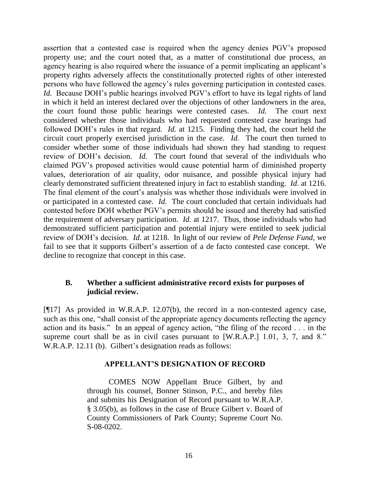assertion that a contested case is required when the agency denies PGV"s proposed property use; and the court noted that, as a matter of constitutional due process, an agency hearing is also required where the issuance of a permit implicating an applicant's property rights adversely affects the constitutionally protected rights of other interested persons who have followed the agency"s rules governing participation in contested cases. *Id.* Because DOH's public hearings involved PGV's effort to have its legal rights of land in which it held an interest declared over the objections of other landowners in the area, the court found those public hearings were contested cases. *Id.* The court next considered whether those individuals who had requested contested case hearings had followed DOH"s rules in that regard. *Id.* at 1215. Finding they had, the court held the circuit court properly exercised jurisdiction in the case. *Id.* The court then turned to consider whether some of those individuals had shown they had standing to request review of DOH"s decision. *Id.* The court found that several of the individuals who claimed PGV"s proposed activities would cause potential harm of diminished property values, deterioration of air quality, odor nuisance, and possible physical injury had clearly demonstrated sufficient threatened injury in fact to establish standing. *Id*. at 1216. The final element of the court's analysis was whether those individuals were involved in or participated in a contested case. *Id.* The court concluded that certain individuals had contested before DOH whether PGV"s permits should be issued and thereby had satisfied the requirement of adversary participation. *Id.* at 1217. Thus, those individuals who had demonstrated sufficient participation and potential injury were entitled to seek judicial review of DOH"s decision. *Id*. at 1218. In light of our review of *Pele Defense Fund*, we fail to see that it supports Gilbert's assertion of a de facto contested case concept. We decline to recognize that concept in this case.

## **B. Whether a sufficient administrative record exists for purposes of judicial review.**

[¶17] As provided in W.R.A.P. 12.07(b), the record in a non-contested agency case, such as this one, "shall consist of the appropriate agency documents reflecting the agency action and its basis." In an appeal of agency action, "the filing of the record . . . in the supreme court shall be as in civil cases pursuant to [W.R.A.P.] 1.01, 3, 7, and 8." W.R.A.P. 12.11 (b). Gilbert's designation reads as follows:

### **APPELLANT'S DESIGNATION OF RECORD**

COMES NOW Appellant Bruce Gilbert, by and through his counsel, Bonner Stinson, P.C., and hereby files and submits his Designation of Record pursuant to W.R.A.P. § 3.05(b), as follows in the case of Bruce Gilbert v. Board of County Commissioners of Park County; Supreme Court No. S-08-0202.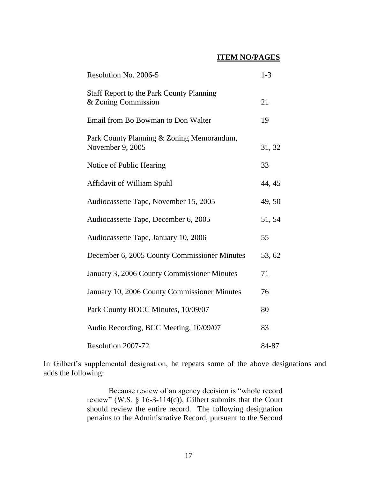## **ITEM NO/PAGES**

| Resolution No. 2006-5                                                  | $1 - 3$ |
|------------------------------------------------------------------------|---------|
| <b>Staff Report to the Park County Planning</b><br>& Zoning Commission | 21      |
| Email from Bo Bowman to Don Walter                                     | 19      |
| Park County Planning & Zoning Memorandum,<br>November 9, 2005          | 31, 32  |
| Notice of Public Hearing                                               | 33      |
| Affidavit of William Spuhl                                             | 44, 45  |
| Audiocassette Tape, November 15, 2005                                  | 49,50   |
| Audiocassette Tape, December 6, 2005                                   | 51, 54  |
| Audiocassette Tape, January 10, 2006                                   | 55      |
| December 6, 2005 County Commissioner Minutes                           | 53, 62  |
| January 3, 2006 County Commissioner Minutes                            | 71      |
| January 10, 2006 County Commissioner Minutes                           | 76      |
| Park County BOCC Minutes, 10/09/07                                     | 80      |
| Audio Recording, BCC Meeting, 10/09/07                                 | 83      |
| Resolution 2007-72                                                     | 84-87   |

In Gilbert's supplemental designation, he repeats some of the above designations and adds the following:

> Because review of an agency decision is "whole record review" (W.S.  $\S$  16-3-114(c)), Gilbert submits that the Court should review the entire record. The following designation pertains to the Administrative Record, pursuant to the Second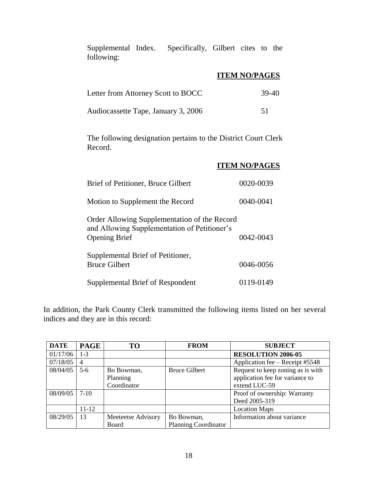Supplemental Index. Specifically, Gilbert cites to the following:

# **ITEM NO/PAGES**

| Letter from Attorney Scott to BOCC  | 39-40 |
|-------------------------------------|-------|
| Audiocassette Tape, January 3, 2006 |       |

The following designation pertains to the District Court Clerk Record.

|                                                                                                                      | <b>ITEM NO/PAGES</b> |
|----------------------------------------------------------------------------------------------------------------------|----------------------|
| Brief of Petitioner, Bruce Gilbert                                                                                   | 0020-0039            |
| Motion to Supplement the Record                                                                                      | 0040-0041            |
| Order Allowing Supplementation of the Record<br>and Allowing Supplementation of Petitioner's<br><b>Opening Brief</b> | $0042 - 0043$        |
| Supplemental Brief of Petitioner,<br><b>Bruce Gilbert</b>                                                            | 0046-0056            |
| Supplemental Brief of Respondent                                                                                     | 0119-0149            |

In addition, the Park County Clerk transmitted the following items listed on her several indices and they are in this record:

| <b>DATE</b> | <b>PAGE</b>    | TО                 | <b>FROM</b>                 | <b>SUBJECT</b>                    |
|-------------|----------------|--------------------|-----------------------------|-----------------------------------|
| 01/17/06    | $1 - 3$        |                    |                             | <b>RESOLUTION 2006-05</b>         |
| 07/18/05    | $\overline{4}$ |                    |                             | Application fee – Receipt #5548   |
| 08/04/05    | $5-6$          | Bo Bowman,         | <b>Bruce Gilbert</b>        | Request to keep zoning as is with |
|             |                | Planning           |                             | application fee for variance to   |
|             |                | Coordinator        |                             | extend LUC-59                     |
| 08/09/05    | $7-10$         |                    |                             | Proof of ownership: Warranty      |
|             |                |                    |                             | Deed 2005-319                     |
|             | $11 - 12$      |                    |                             | <b>Location Maps</b>              |
| 08/29/05    | 13             | Meeteetse Advisory | Bo Bowman,                  | Information about variance        |
|             |                | Board              | <b>Planning Coordinator</b> |                                   |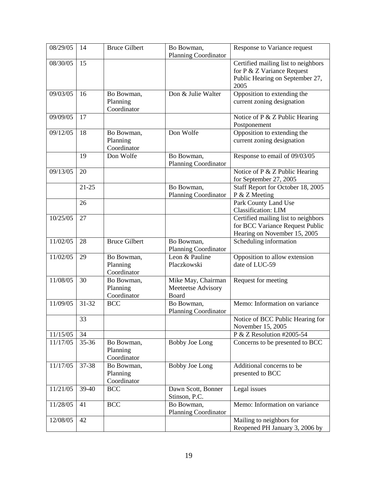| 08/29/05 | 14        | <b>Bruce Gilbert</b>                  | Bo Bowman,<br><b>Planning Coordinator</b>         | Response to Variance request                                                                                 |
|----------|-----------|---------------------------------------|---------------------------------------------------|--------------------------------------------------------------------------------------------------------------|
| 08/30/05 | 15        |                                       |                                                   | Certified mailing list to neighbors<br>for P & Z Variance Request<br>Public Hearing on September 27,<br>2005 |
| 09/03/05 | 16        | Bo Bowman,<br>Planning<br>Coordinator | Don & Julie Walter                                | Opposition to extending the<br>current zoning designation                                                    |
| 09/09/05 | 17        |                                       |                                                   | Notice of P & Z Public Hearing<br>Postponement                                                               |
| 09/12/05 | 18        | Bo Bowman,<br>Planning<br>Coordinator | Don Wolfe                                         | Opposition to extending the<br>current zoning designation                                                    |
|          | 19        | Don Wolfe                             | Bo Bowman,<br><b>Planning Coordinator</b>         | Response to email of 09/03/05                                                                                |
| 09/13/05 | 20        |                                       |                                                   | Notice of P & Z Public Hearing<br>for September 27, 2005                                                     |
|          | $21 - 25$ |                                       | Bo Bowman,<br><b>Planning Coordinator</b>         | Staff Report for October 18, 2005<br>P & Z Meeting                                                           |
|          | 26        |                                       |                                                   | Park County Land Use<br><b>Classification: LIM</b>                                                           |
| 10/25/05 | 27        |                                       |                                                   | Certified mailing list to neighbors<br>for BCC Variance Request Public<br>Hearing on November 15, 2005       |
| 11/02/05 | 28        | <b>Bruce Gilbert</b>                  | Bo Bowman,<br><b>Planning Coordinator</b>         | Scheduling information                                                                                       |
| 11/02/05 | 29        | Bo Bowman,<br>Planning<br>Coordinator | Leon & Pauline<br>Placzkowski                     | Opposition to allow extension<br>date of LUC-59                                                              |
| 11/08/05 | 30        | Bo Bowman,<br>Planning<br>Coordinator | Mike May, Chairman<br>Meeteetse Advisory<br>Board | Request for meeting                                                                                          |
| 11/09/05 | 31-32     | <b>BCC</b>                            | Bo Bowman,<br><b>Planning Coordinator</b>         | Memo: Information on variance                                                                                |
|          | 33        |                                       |                                                   | Notice of BCC Public Hearing for<br>November 15, 2005                                                        |
| 11/15/05 | 34        |                                       |                                                   | P & Z Resolution #2005-54                                                                                    |
| 11/17/05 | 35-36     | Bo Bowman,<br>Planning<br>Coordinator | <b>Bobby Joe Long</b>                             | Concerns to be presented to BCC                                                                              |
| 11/17/05 | 37-38     | Bo Bowman,<br>Planning<br>Coordinator | <b>Bobby Joe Long</b>                             | Additional concerns to be<br>presented to BCC                                                                |
| 11/21/05 | 39-40     | <b>BCC</b>                            | Dawn Scott, Bonner<br>Stinson, P.C.               | Legal issues                                                                                                 |
| 11/28/05 | 41        | <b>BCC</b>                            | Bo Bowman,<br>Planning Coordinator                | Memo: Information on variance                                                                                |
| 12/08/05 | 42        |                                       |                                                   | Mailing to neighbors for<br>Reopened PH January 3, 2006 by                                                   |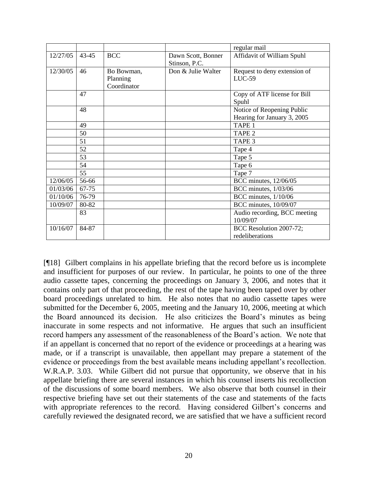|          |           |             |                    | regular mail                 |
|----------|-----------|-------------|--------------------|------------------------------|
| 12/27/05 | $43 - 45$ | <b>BCC</b>  | Dawn Scott, Bonner | Affidavit of William Spuhl   |
|          |           |             | Stinson, P.C.      |                              |
| 12/30/05 | 46        | Bo Bowman,  | Don & Julie Walter | Request to deny extension of |
|          |           | Planning    |                    | $LUC-59$                     |
|          |           | Coordinator |                    |                              |
|          | 47        |             |                    | Copy of ATF license for Bill |
|          |           |             |                    | Spuhl                        |
|          | 48        |             |                    | Notice of Reopening Public   |
|          |           |             |                    | Hearing for January 3, 2005  |
|          | 49        |             |                    | TAPE <sub>1</sub>            |
|          | 50        |             |                    | TAPE <sub>2</sub>            |
|          | 51        |             |                    | TAPE <sub>3</sub>            |
|          | 52        |             |                    | Tape 4                       |
|          | 53        |             |                    | Tape 5                       |
|          | 54        |             |                    | Tape 6                       |
|          | 55        |             |                    | Tape 7                       |
| 12/06/05 | 56-66     |             |                    | BCC minutes, 12/06/05        |
| 01/03/06 | 67-75     |             |                    | BCC minutes, 1/03/06         |
| 01/10/06 | 76-79     |             |                    | BCC minutes, 1/10/06         |
| 10/09/07 | 80-82     |             |                    | BCC minutes, 10/09/07        |
|          | 83        |             |                    | Audio recording, BCC meeting |
|          |           |             |                    | 10/09/07                     |
| 10/16/07 | 84-87     |             |                    | BCC Resolution 2007-72;      |
|          |           |             |                    | redeliberations              |

[¶18] Gilbert complains in his appellate briefing that the record before us is incomplete and insufficient for purposes of our review. In particular, he points to one of the three audio cassette tapes, concerning the proceedings on January 3, 2006, and notes that it contains only part of that proceeding, the rest of the tape having been taped over by other board proceedings unrelated to him. He also notes that no audio cassette tapes were submitted for the December 6, 2005, meeting and the January 10, 2006, meeting at which the Board announced its decision. He also criticizes the Board"s minutes as being inaccurate in some respects and not informative. He argues that such an insufficient record hampers any assessment of the reasonableness of the Board"s action. We note that if an appellant is concerned that no report of the evidence or proceedings at a hearing was made, or if a transcript is unavailable, then appellant may prepare a statement of the evidence or proceedings from the best available means including appellant"s recollection. W.R.A.P. 3.03. While Gilbert did not pursue that opportunity, we observe that in his appellate briefing there are several instances in which his counsel inserts his recollection of the discussions of some board members. We also observe that both counsel in their respective briefing have set out their statements of the case and statements of the facts with appropriate references to the record. Having considered Gilbert's concerns and carefully reviewed the designated record, we are satisfied that we have a sufficient record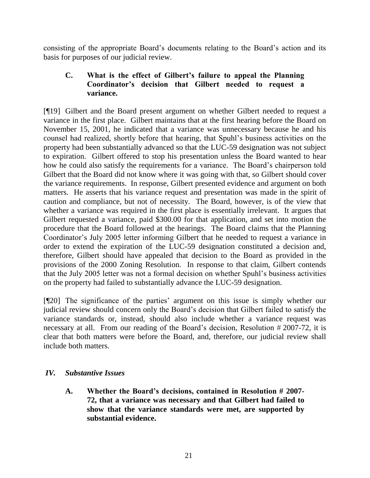consisting of the appropriate Board"s documents relating to the Board"s action and its basis for purposes of our judicial review.

# **C. What is the effect of Gilbert's failure to appeal the Planning Coordinator's decision that Gilbert needed to request a variance.**

[¶19] Gilbert and the Board present argument on whether Gilbert needed to request a variance in the first place. Gilbert maintains that at the first hearing before the Board on November 15, 2001, he indicated that a variance was unnecessary because he and his counsel had realized, shortly before that hearing, that Spuhl"s business activities on the property had been substantially advanced so that the LUC-59 designation was not subject to expiration. Gilbert offered to stop his presentation unless the Board wanted to hear how he could also satisfy the requirements for a variance. The Board's chairperson told Gilbert that the Board did not know where it was going with that, so Gilbert should cover the variance requirements. In response, Gilbert presented evidence and argument on both matters. He asserts that his variance request and presentation was made in the spirit of caution and compliance, but not of necessity. The Board, however, is of the view that whether a variance was required in the first place is essentially irrelevant. It argues that Gilbert requested a variance, paid \$300.00 for that application, and set into motion the procedure that the Board followed at the hearings. The Board claims that the Planning Coordinator's July 2005 letter informing Gilbert that he needed to request a variance in order to extend the expiration of the LUC-59 designation constituted a decision and, therefore, Gilbert should have appealed that decision to the Board as provided in the provisions of the 2000 Zoning Resolution. In response to that claim, Gilbert contends that the July 2005 letter was not a formal decision on whether Spuhl"s business activities on the property had failed to substantially advance the LUC-59 designation.

[¶20] The significance of the parties" argument on this issue is simply whether our judicial review should concern only the Board"s decision that Gilbert failed to satisfy the variance standards or, instead, should also include whether a variance request was necessary at all. From our reading of the Board's decision, Resolution #2007-72, it is clear that both matters were before the Board, and, therefore, our judicial review shall include both matters.

## *IV. Substantive Issues*

**A. Whether the Board's decisions, contained in Resolution # 2007- 72, that a variance was necessary and that Gilbert had failed to show that the variance standards were met, are supported by substantial evidence.**